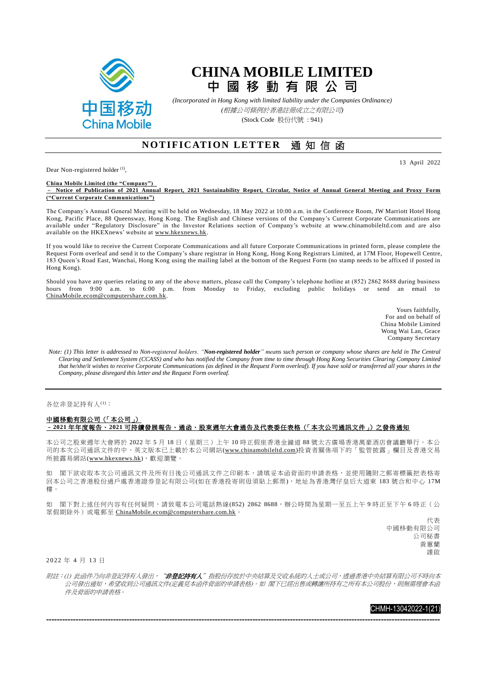

## **CHINA MOBILE LIMITED 中 國 移 動 有 限 公 司**

*(Incorporated in Hong Kong with limited liability under the Companies Ordinance) (*根據公司條例於香港註冊成立之有限公司*)* (Stock Code 股份代號 : 941)

## **N OT IF IC ATI ON LET TE R** 通 知 信 函

Dear Non-registered holder<sup>(1)</sup>,

13 April 2022

**China Mobile Limited (the "Company")**  – **Notice of Publication of 2021 Annual Report, 2021 Sustainability Report, Circular, Notice of Annual General Meeting and Proxy Form ("Current Corporate Communications")**

The Company's Annual General Meeting will be held on Wednesday, 18 May 2022 at 10:00 a.m. in the Conference Room, JW Marriott Hotel Hong Kong, Pacific Place, 88 Queensway, Hong Kong. The English and Chinese versions of the Company's Current Corporate Communications are available under "Regulatory Disclosure" in the Investor Relations section of Company's website at www.chinamobileltd.com and are also available on the HKEXnews' website at [www.hkexnews.hk.](http://www.hkexnews.hk/)

If you would like to receive the Current Corporate Communications and all future Corporate Communications in printed form, please complete the Request Form overleaf and send it to the Company's share registrar in Hong Kong, Hong Kong Registrars Limited, at 17M Floor, Hopewell Centre, 183 Queen's Road East, Wanchai, Hong Kong using the mailing label at the bottom of the Request Form (no stamp needs to be affixed if posted in Hong Kong).

Should you have any queries relating to any of the above matters, please call the Company's telephone hotline at (852) 2862 8688 during business hours from 9:00 a.m. to 6:00 p.m. from Monday to Friday, excluding public holidays or send an email to [ChinaMobile.ecom@computershare.com.hk.](mailto:ChinaMobile.ecom@computershare.com.hk)

> Yours faithfully, For and on behalf of China Mobile Limited Wong Wai Lan, Grace Company Secretary

*Note: (1) This letter is addressed to Non-registered holders. "Non-registered holder" means such person or company whose shares are held in The Central Clearing and Settlement System (CCASS) and who has notified the Company from time to time through Hong Kong Securities Clearing Company Limited that he/she/it wishes to receive Corporate Communications (as defined in the Request Form overleaf). If you have sold or transferred all your shares in the <i>health of the Request Form overleaf*). If you have sold or trans *Company, please disregard this letter and the Request Form overleaf.*

各位非登記持有人(1):

## 中國移動有限公司(「本公司」) –**2021** 年年度報告、**2021** 可持續發展報告、通函、股東週年大會通告及代表委任表格(「本次公司通訊文件」)之發佈通知

本公司之股東週年大會將於 2022 年 5 月 18 日(星期三)上午 10 時正假座香港金鐘道 88 號太古廣場香港萬豪酒店會議廳舉行。本公 司的本次公司通訊文件的中、英文版本已上載於本公司網站[\(www.chinamobileltd.com\)](http://www.chinamobileltd.com/)投資者關係項下的「監管披露」欄目及香港交易 所披露易網站[\(www.hkexnews.hk\)](http://www.hkexnews.hk/),歡迎瀏覽。

如 閣下欲收取本次公司通訊文所有日後公司通訊文件之印刷本,請填妥本函背面的申請表格,並使用隨附之郵寄標籤把表格寄 回本公司之香港股份過戶處香港證券登記有限公司(如在香港投寄則毋須貼上郵票),地址為香港灣仔皇后大道東 183 號合和中心 17M 樓。

如 閣下對上述任何內容有任何疑問,請致電本公司電話熱線(852) 2862 8688,辦公時間為星期一至五上午9時正至下午6時正(公 眾假期除外)或電郵至 [ChinaMobile.ecom@computershare.com.hk](mailto:ChinaMobile.ecom@computershare.com.hk)。

> 代表 中國移動有限公司 公司秘書 黃蕙蘭 謹啟

2 0 22 年 4 月 13 日

附註:(1) 此函件乃向非登記持有人發出,"**非登記持有人**"指股份存放於中央結算及交收系統的人士或公司,透過香港中央結算有限公司不時向本 公司發出通知,希望收到公司通訊文件(定義見本函件背面的申請表格)。如 閣下已經出售或轉讓所持有之所有本公司股份,則無需理會本函 件及背面的申請表格。

---------------------------------------------------------------------------------------------------------------------------------------------------

## CHMH-13042022-1(21)